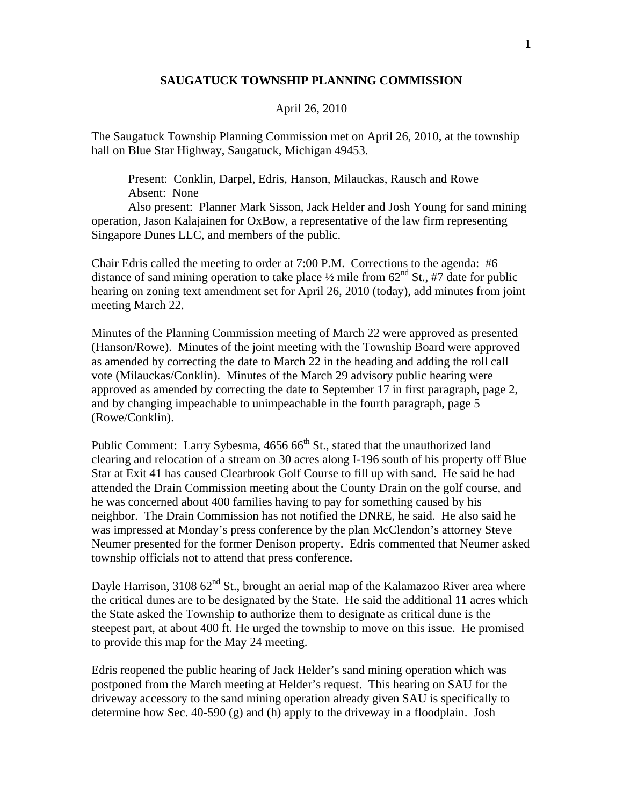## **SAUGATUCK TOWNSHIP PLANNING COMMISSION**

## April 26, 2010

The Saugatuck Township Planning Commission met on April 26, 2010, at the township hall on Blue Star Highway, Saugatuck, Michigan 49453.

 Present: Conklin, Darpel, Edris, Hanson, Milauckas, Rausch and Rowe Absent: None

 Also present: Planner Mark Sisson, Jack Helder and Josh Young for sand mining operation, Jason Kalajainen for OxBow, a representative of the law firm representing Singapore Dunes LLC, and members of the public.

Chair Edris called the meeting to order at 7:00 P.M. Corrections to the agenda: #6 distance of sand mining operation to take place  $\frac{1}{2}$  mile from 62<sup>nd</sup> St., #7 date for public hearing on zoning text amendment set for April 26, 2010 (today), add minutes from joint meeting March 22.

Minutes of the Planning Commission meeting of March 22 were approved as presented (Hanson/Rowe). Minutes of the joint meeting with the Township Board were approved as amended by correcting the date to March 22 in the heading and adding the roll call vote (Milauckas/Conklin). Minutes of the March 29 advisory public hearing were approved as amended by correcting the date to September 17 in first paragraph, page 2, and by changing impeachable to unimpeachable in the fourth paragraph, page 5 (Rowe/Conklin).

Public Comment: Larry Sybesma,  $4656\,66^{\text{th}}$  St., stated that the unauthorized land clearing and relocation of a stream on 30 acres along I-196 south of his property off Blue Star at Exit 41 has caused Clearbrook Golf Course to fill up with sand. He said he had attended the Drain Commission meeting about the County Drain on the golf course, and he was concerned about 400 families having to pay for something caused by his neighbor. The Drain Commission has not notified the DNRE, he said. He also said he was impressed at Monday's press conference by the plan McClendon's attorney Steve Neumer presented for the former Denison property. Edris commented that Neumer asked township officials not to attend that press conference.

Dayle Harrison, 3108  $62^{nd}$  St., brought an aerial map of the Kalamazoo River area where the critical dunes are to be designated by the State. He said the additional 11 acres which the State asked the Township to authorize them to designate as critical dune is the steepest part, at about 400 ft. He urged the township to move on this issue. He promised to provide this map for the May 24 meeting.

Edris reopened the public hearing of Jack Helder's sand mining operation which was postponed from the March meeting at Helder's request. This hearing on SAU for the driveway accessory to the sand mining operation already given SAU is specifically to determine how Sec. 40-590 (g) and (h) apply to the driveway in a floodplain. Josh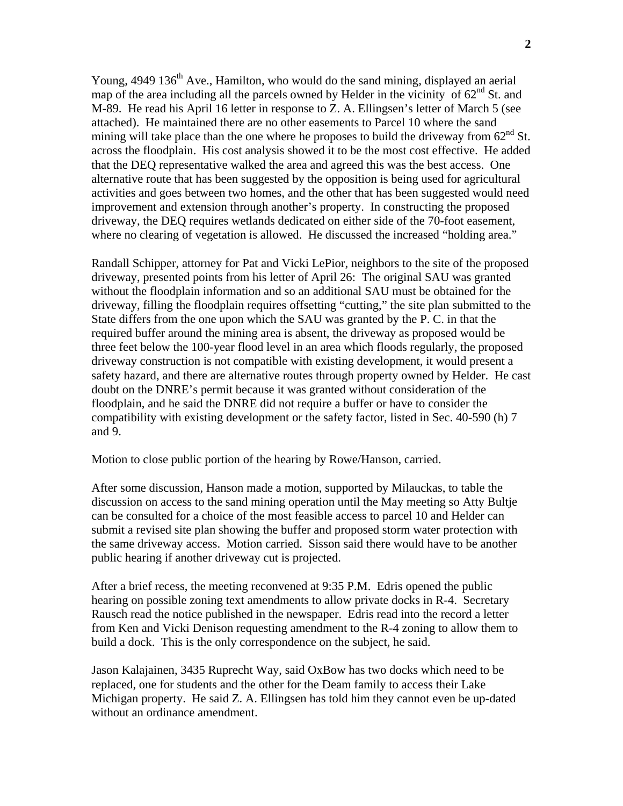Young, 4949 136<sup>th</sup> Ave., Hamilton, who would do the sand mining, displayed an aerial map of the area including all the parcels owned by Helder in the vicinity of  $62<sup>nd</sup>$  St. and M-89. He read his April 16 letter in response to Z. A. Ellingsen's letter of March 5 (see attached). He maintained there are no other easements to Parcel 10 where the sand mining will take place than the one where he proposes to build the driveway from  $62^{nd}$  St. across the floodplain. His cost analysis showed it to be the most cost effective. He added that the DEQ representative walked the area and agreed this was the best access. One alternative route that has been suggested by the opposition is being used for agricultural activities and goes between two homes, and the other that has been suggested would need improvement and extension through another's property. In constructing the proposed driveway, the DEQ requires wetlands dedicated on either side of the 70-foot easement, where no clearing of vegetation is allowed. He discussed the increased "holding area."

Randall Schipper, attorney for Pat and Vicki LePior, neighbors to the site of the proposed driveway, presented points from his letter of April 26: The original SAU was granted without the floodplain information and so an additional SAU must be obtained for the driveway, filling the floodplain requires offsetting "cutting," the site plan submitted to the State differs from the one upon which the SAU was granted by the P. C. in that the required buffer around the mining area is absent, the driveway as proposed would be three feet below the 100-year flood level in an area which floods regularly, the proposed driveway construction is not compatible with existing development, it would present a safety hazard, and there are alternative routes through property owned by Helder. He cast doubt on the DNRE's permit because it was granted without consideration of the floodplain, and he said the DNRE did not require a buffer or have to consider the compatibility with existing development or the safety factor, listed in Sec. 40-590 (h) 7 and 9.

Motion to close public portion of the hearing by Rowe/Hanson, carried.

After some discussion, Hanson made a motion, supported by Milauckas, to table the discussion on access to the sand mining operation until the May meeting so Atty Bultje can be consulted for a choice of the most feasible access to parcel 10 and Helder can submit a revised site plan showing the buffer and proposed storm water protection with the same driveway access. Motion carried. Sisson said there would have to be another public hearing if another driveway cut is projected.

After a brief recess, the meeting reconvened at 9:35 P.M. Edris opened the public hearing on possible zoning text amendments to allow private docks in R-4. Secretary Rausch read the notice published in the newspaper. Edris read into the record a letter from Ken and Vicki Denison requesting amendment to the R-4 zoning to allow them to build a dock. This is the only correspondence on the subject, he said.

Jason Kalajainen, 3435 Ruprecht Way, said OxBow has two docks which need to be replaced, one for students and the other for the Deam family to access their Lake Michigan property. He said Z. A. Ellingsen has told him they cannot even be up-dated without an ordinance amendment.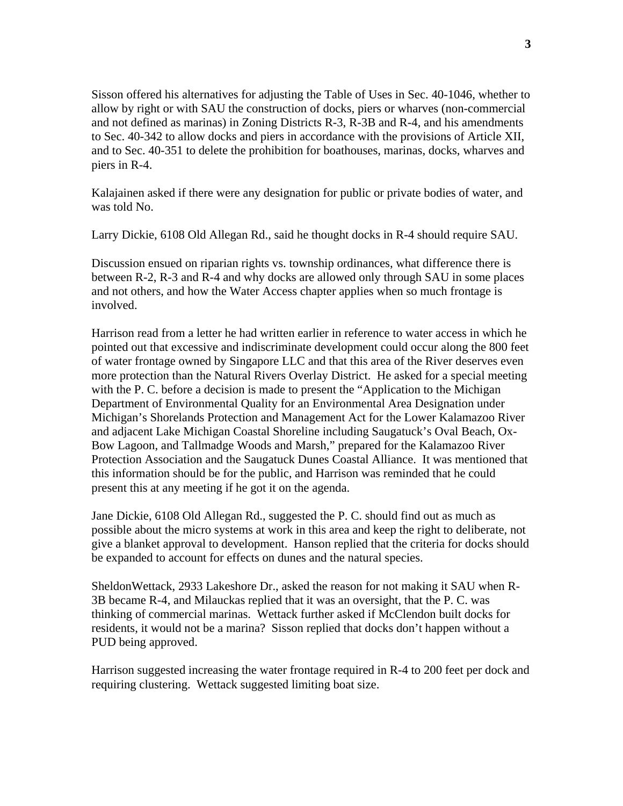Sisson offered his alternatives for adjusting the Table of Uses in Sec. 40-1046, whether to allow by right or with SAU the construction of docks, piers or wharves (non-commercial and not defined as marinas) in Zoning Districts R-3, R-3B and R-4, and his amendments to Sec. 40-342 to allow docks and piers in accordance with the provisions of Article XII, and to Sec. 40-351 to delete the prohibition for boathouses, marinas, docks, wharves and piers in R-4.

Kalajainen asked if there were any designation for public or private bodies of water, and was told No.

Larry Dickie, 6108 Old Allegan Rd., said he thought docks in R-4 should require SAU.

Discussion ensued on riparian rights vs. township ordinances, what difference there is between R-2, R-3 and R-4 and why docks are allowed only through SAU in some places and not others, and how the Water Access chapter applies when so much frontage is involved.

Harrison read from a letter he had written earlier in reference to water access in which he pointed out that excessive and indiscriminate development could occur along the 800 feet of water frontage owned by Singapore LLC and that this area of the River deserves even more protection than the Natural Rivers Overlay District. He asked for a special meeting with the P. C. before a decision is made to present the "Application to the Michigan" Department of Environmental Quality for an Environmental Area Designation under Michigan's Shorelands Protection and Management Act for the Lower Kalamazoo River and adjacent Lake Michigan Coastal Shoreline including Saugatuck's Oval Beach, Ox-Bow Lagoon, and Tallmadge Woods and Marsh," prepared for the Kalamazoo River Protection Association and the Saugatuck Dunes Coastal Alliance. It was mentioned that this information should be for the public, and Harrison was reminded that he could present this at any meeting if he got it on the agenda.

Jane Dickie, 6108 Old Allegan Rd., suggested the P. C. should find out as much as possible about the micro systems at work in this area and keep the right to deliberate, not give a blanket approval to development. Hanson replied that the criteria for docks should be expanded to account for effects on dunes and the natural species.

SheldonWettack, 2933 Lakeshore Dr., asked the reason for not making it SAU when R-3B became R-4, and Milauckas replied that it was an oversight, that the P. C. was thinking of commercial marinas. Wettack further asked if McClendon built docks for residents, it would not be a marina? Sisson replied that docks don't happen without a PUD being approved.

Harrison suggested increasing the water frontage required in R-4 to 200 feet per dock and requiring clustering. Wettack suggested limiting boat size.